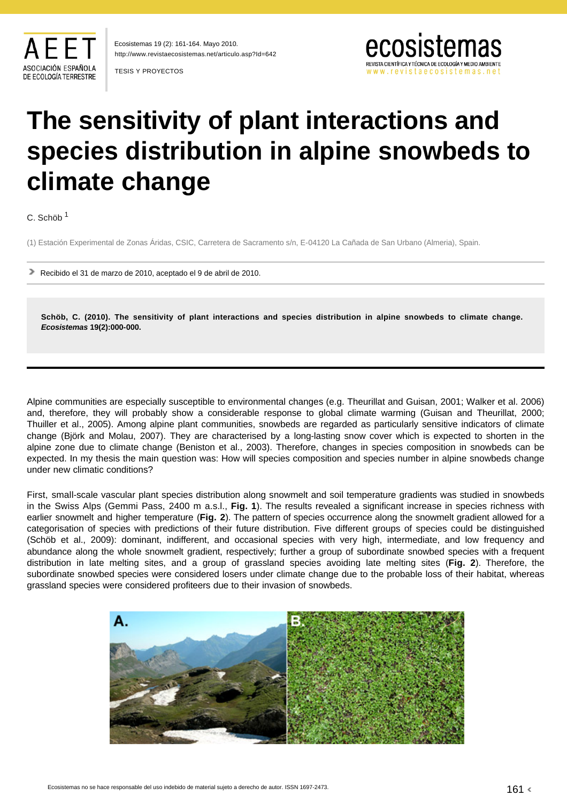

http://www.revistaecosistemas.net/articulo.asp?Id=642 Ecosistemas 19 (2): 161-164. Mayo 2010.

TESIS Y PROYECTOS



# **The sensitivity of plant interactions and species distribution in alpine snowbeds to climate change**

C. Schöb <sup>1</sup>

(1) Estación Experimental de Zonas Áridas, CSIC, Carretera de Sacramento s/n, E-04120 La Cañada de San Urbano (Almeria), Spain.

Recibido el 31 de marzo de 2010, aceptado el 9 de abril de 2010.

**Schöb, C. (2010). The sensitivity of plant interactions and species distribution in alpine snowbeds to climate change. Ecosistemas 19(2):000-000.**

Alpine communities are especially susceptible to environmental changes (e.g. Theurillat and Guisan, 2001; Walker et al. 2006) and, therefore, they will probably show a considerable response to global climate warming (Guisan and Theurillat, 2000; Thuiller et al., 2005). Among alpine plant communities, snowbeds are regarded as particularly sensitive indicators of climate change (Björk and Molau, 2007). They are characterised by a long-lasting snow cover which is expected to shorten in the alpine zone due to climate change (Beniston et al., 2003). Therefore, changes in species composition in snowbeds can be expected. In my thesis the main question was: How will species composition and species number in alpine snowbeds change under new climatic conditions?

First, small-scale vascular plant species distribution along snowmelt and soil temperature gradients was studied in snowbeds in the Swiss Alps (Gemmi Pass, 2400 m a.s.l., **Fig. 1**). The results revealed a significant increase in species richness with earlier snowmelt and higher temperature (**Fig. 2**). The pattern of species occurrence along the snowmelt gradient allowed for a categorisation of species with predictions of their future distribution. Five different groups of species could be distinguished (Schöb et al., 2009): dominant, indifferent, and occasional species with very high, intermediate, and low frequency and abundance along the whole snowmelt gradient, respectively; further a group of subordinate snowbed species with a frequent distribution in late melting sites, and a group of grassland species avoiding late melting sites (**Fig. 2**). Therefore, the subordinate snowbed species were considered losers under climate change due to the probable loss of their habitat, whereas grassland species were considered profiteers due to their invasion of snowbeds.

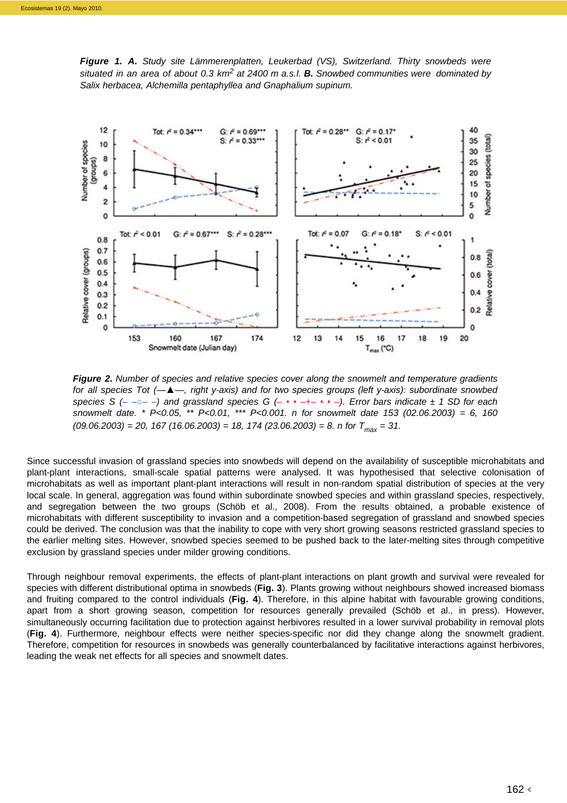**Figure 1. A.** Study site Lämmerenplatten, Leukerbad (VS), Switzerland. Thirty snowbeds were situated in an area of about 0.3 km<sup>2</sup> at 2400 m a.s.l. **B.** Snowbed communities were dominated by Salix herbacea, Alchemilla pentaphyllea and Gnaphalium supinum.



**Figure 2.** Number of species and relative species cover along the snowmelt and temperature gradients for all species Tot (—*▲*—, right y-axis) and for two species groups (left y-axis): subordinate snowbed species S (– – $\circ$ – –) and grassland species G (– • • –+– • • –). Error bars indicate  $\pm$  1 SD for each snowmelt date. \*  $P<0.05$ , \*\*  $P<0.01$ , \*\*\*  $P<0.001$ . n for snowmelt date 153 (02.06.2003) = 6, 160  $(09.06.2003) = 20$ , 167 (16.06.2003) = 18, 174 (23.06.2003) = 8. n for  $T_{\text{max}} = 31$ .

Since successful invasion of grassland species into snowbeds will depend on the availability of susceptible microhabitats and plant-plant interactions, small-scale spatial patterns were analysed. It was hypothesised that selective colonisation of microhabitats as well as important plant-plant interactions will result in non-random spatial distribution of species at the very local scale. In general, aggregation was found within subordinate snowbed species and within grassland species, respectively, and segregation between the two groups (Schöb et al., 2008). From the results obtained, a probable existence of microhabitats with different susceptibility to invasion and a competition-based segregation of grassland and snowbed species could be derived. The conclusion was that the inability to cope with very short growing seasons restricted grassland species to the earlier melting sites. However, snowbed species seemed to be pushed back to the later-melting sites through competitive exclusion by grassland species under milder growing conditions.

Through neighbour removal experiments, the effects of plant-plant interactions on plant growth and survival were revealed for species with different distributional optima in snowbeds (**Fig. 3**). Plants growing without neighbours showed increased biomass and fruiting compared to the control individuals (**Fig. 4**). Therefore, in this alpine habitat with favourable growing conditions, apart from a short growing season, competition for resources generally prevailed (Schöb et al., in press). However, simultaneously occurring facilitation due to protection against herbivores resulted in a lower survival probability in removal plots (**Fig. 4**). Furthermore, neighbour effects were neither species-specific nor did they change along the snowmelt gradient. Therefore, competition for resources in snowbeds was generally counterbalanced by facilitative interactions against herbivores, leading the weak net effects for all species and snowmelt dates.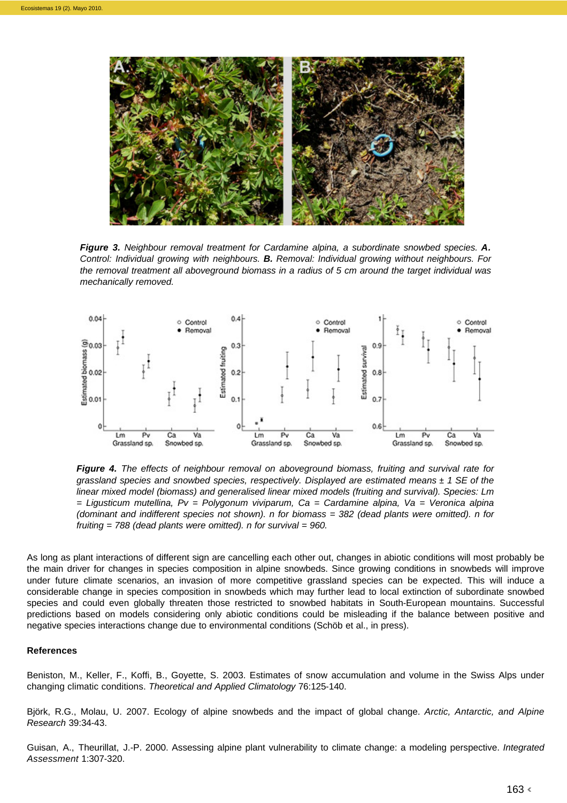

**Figure 3.** Neighbour removal treatment for Cardamine alpina, a subordinate snowbed species. **A.**  Control: Individual growing with neighbours. **B.** Removal: Individual growing without neighbours. For the removal treatment all aboveground biomass in a radius of 5 cm around the target individual was mechanically removed.



**Figure 4.** The effects of neighbour removal on aboveground biomass, fruiting and survival rate for grassland species and snowbed species, respectively. Displayed are estimated means  $\pm$  1 SE of the linear mixed model (biomass) and generalised linear mixed models (fruiting and survival). Species: Lm  $=$  Ligusticum mutellina, Pv = Polygonum viviparum, Ca = Cardamine alpina, Va = Veronica alpina (dominant and indifferent species not shown). n for biomass = 382 (dead plants were omitted). n for fruiting  $= 788$  (dead plants were omitted). n for survival  $= 960$ .

As long as plant interactions of different sign are cancelling each other out, changes in abiotic conditions will most probably be the main driver for changes in species composition in alpine snowbeds. Since growing conditions in snowbeds will improve under future climate scenarios, an invasion of more competitive grassland species can be expected. This will induce a considerable change in species composition in snowbeds which may further lead to local extinction of subordinate snowbed species and could even globally threaten those restricted to snowbed habitats in South-European mountains. Successful predictions based on models considering only abiotic conditions could be misleading if the balance between positive and negative species interactions change due to environmental conditions (Schöb et al., in press).

# **References**

Beniston, M., Keller, F., Koffi, B., Goyette, S. 2003. Estimates of snow accumulation and volume in the Swiss Alps under changing climatic conditions. Theoretical and Applied Climatology 76:125-140.

Björk, R.G., Molau, U. 2007. Ecology of alpine snowbeds and the impact of global change. Arctic, Antarctic, and Alpine Research 39:34-43.

Guisan, A., Theurillat, J.-P. 2000. Assessing alpine plant vulnerability to climate change: a modeling perspective. Integrated Assessment 1:307-320.